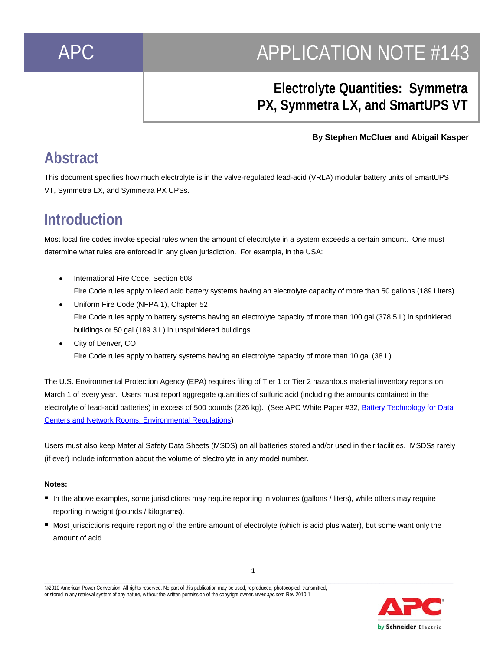# APC APPLICATION NOTE #143

### **Electrolyte Quantities: Symmetra PX, Symmetra LX, and SmartUPS VT**

#### **By Stephen McCluer and Abigail Kasper**

### **Abstract**

This document specifies how much electrolyte is in the valve-regulated lead-acid (VRLA) modular battery units of SmartUPS VT, Symmetra LX, and Symmetra PX UPSs.

### **Introduction**

Most local fire codes invoke special rules when the amount of electrolyte in a system exceeds a certain amount. One must determine what rules are enforced in any given jurisdiction. For example, in the USA:

- International Fire Code, Section 608 Fire Code rules apply to lead acid battery systems having an electrolyte capacity of more than 50 gallons (189 Liters)
- Uniform Fire Code (NFPA 1), Chapter 52 Fire Code rules apply to battery systems having an electrolyte capacity of more than 100 gal (378.5 L) in sprinklered buildings or 50 gal (189.3 L) in unsprinklered buildings
- City of Denver, CO Fire Code rules apply to battery systems having an electrolyte capacity of more than 10 gal (38 L)

The U.S. Environmental Protection Agency (EPA) requires filing of Tier 1 or Tier 2 hazardous material inventory reports on March 1 of every year. Users must report aggregate quantities of sulfuric acid (including the amounts contained in the electrolyte of lead-acid batteries) in excess of 500 pounds (226 kg). (See APC White Paper #32, Battery Technology for Data Centers and Network Rooms: Environmental Regulations)

Users must also keep Material Safety Data Sheets (MSDS) on all batteries stored and/or used in their facilities. MSDSs rarely (if ever) include information about the volume of electrolyte in any model number.

#### **Notes:**

- In the above examples, some jurisdictions may require reporting in volumes (gallons / liters), while others may require reporting in weight (pounds / kilograms).
- Most jurisdictions require reporting of the entire amount of electrolyte (which is acid plus water), but some want only the amount of acid.

**1** 

**\_\_\_\_\_\_\_\_\_\_\_\_\_\_\_\_\_\_\_\_\_\_\_\_\_\_\_\_\_\_\_\_\_\_\_\_\_\_\_\_\_\_\_\_\_\_\_\_\_\_\_\_\_\_\_\_\_\_\_\_\_\_\_\_\_\_\_\_\_\_\_\_\_\_\_\_\_\_\_\_\_\_\_\_\_\_\_\_\_\_\_\_\_\_\_\_\_\_\_\_** ©2010 American Power Conversion. All rights reserved. No part of this publication may be used, reproduced, photocopied, transmitted, or stored in any retrieval system of any nature, without the written permission of the copyright owner. *www.apc.com* Rev 2010-1

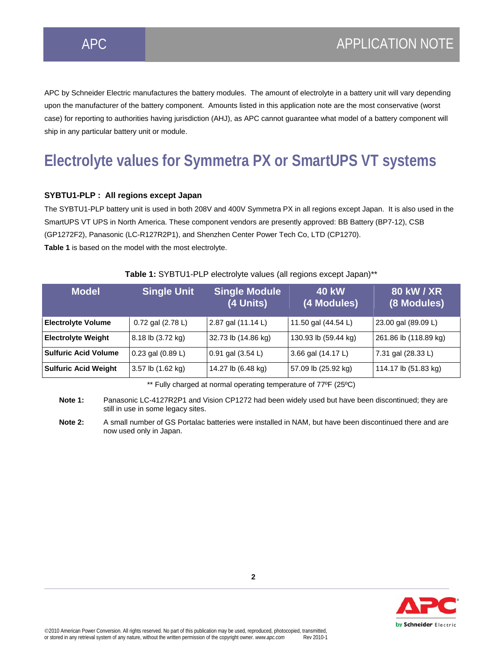APC by Schneider Electric manufactures the battery modules. The amount of electrolyte in a battery unit will vary depending upon the manufacturer of the battery component. Amounts listed in this application note are the most conservative (worst case) for reporting to authorities having jurisdiction (AHJ), as APC cannot guarantee what model of a battery component will ship in any particular battery unit or module.

## **Electrolyte values for Symmetra PX or SmartUPS VT systems**

#### **SYBTU1-PLP : All regions except Japan**

The SYBTU1-PLP battery unit is used in both 208V and 400V Symmetra PX in all regions except Japan. It is also used in the SmartUPS VT UPS in North America. These component vendors are presently approved: BB Battery (BP7-12), CSB (GP1272F2), Panasonic (LC-R127R2P1), and Shenzhen Center Power Tech Co, LTD (CP1270). **Table 1** is based on the model with the most electrolyte.

| <b>Model</b>                | <b>Single Unit</b>    | <b>Single Module</b><br>(4 Units) | <b>40 kW</b><br>(4 Modules) | 80 kW / XR<br>(8 Modules) |
|-----------------------------|-----------------------|-----------------------------------|-----------------------------|---------------------------|
| <b>Electrolyte Volume</b>   | 0.72 gal (2.78 L)     | 2.87 gal (11.14 L)                | 11.50 gal (44.54 L)         | 23.00 gal (89.09 L)       |
| <b>Electrolyte Weight</b>   | 8.18 lb (3.72 kg)     | 32.73 lb (14.86 kg)               | 130.93 lb (59.44 kg)        | 261.86 lb (118.89 kg)     |
| <b>Sulfuric Acid Volume</b> | $0.23$ gal $(0.89 L)$ | $0.91$ gal $(3.54 L)$             | 3.66 gal (14.17 L)          | 7.31 gal (28.33 L)        |
| <b>Sulfuric Acid Weight</b> | 3.57 lb (1.62 kg)     | 14.27 lb (6.48 kg)                | 57.09 lb (25.92 kg)         | 114.17 lb (51.83 kg)      |

#### **Table 1:** SYBTU1-PLP electrolyte values (all regions except Japan)\*\*

\*\* Fully charged at normal operating temperature of 77ºF (25ºC)

**Note 1:** Panasonic LC-4127R2P1 and Vision CP1272 had been widely used but have been discontinued; they are still in use in some legacy sites.

 **Note 2:** A small number of GS Portalac batteries were installed in NAM, but have been discontinued there and are now used only in Japan.

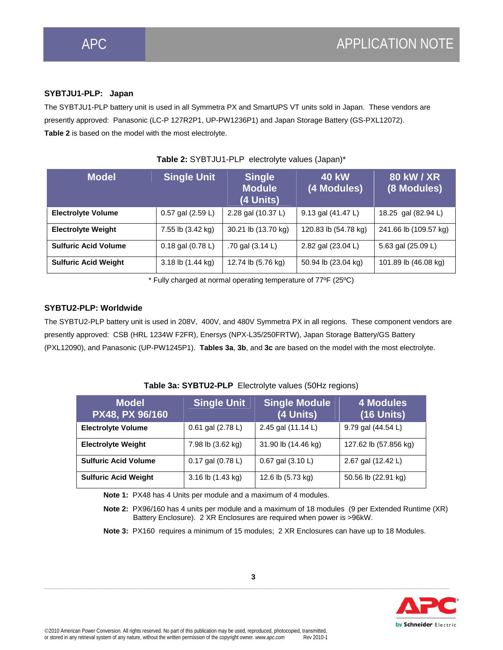#### **SYBTJU1-PLP: Japan**

The SYBTJU1-PLP battery unit is used in all Symmetra PX and SmartUPS VT units sold in Japan. These vendors are presently approved: Panasonic (LC-P 127R2P1, UP-PW1236P1) and Japan Storage Battery (GS-PXL12072). **Table 2** is based on the model with the most electrolyte.

| <b>Model</b>                | <b>Single Unit</b>  | <b>Single</b><br><b>Module</b><br>(4 Units) | <b>40 kW</b><br>(4 Modules) | <b>80 kW / XR</b><br>(8 Modules) |
|-----------------------------|---------------------|---------------------------------------------|-----------------------------|----------------------------------|
| <b>Electrolyte Volume</b>   | 0.57 gal (2.59 L)   | 2.28 gal (10.37 L)                          | 9.13 gal (41.47 L)          | 18.25 gal (82.94 L)              |
| <b>Electrolyte Weight</b>   | 7.55 lb (3.42 kg)   | 30.21 lb (13.70 kg)                         | 120.83 lb (54.78 kg)        | 241.66 lb (109.57 kg)            |
| <b>Sulfuric Acid Volume</b> | 0.18 gal $(0.78 L)$ | .70 gal $(3.14 L)$                          | 2.82 gal (23.04 L)          | 5.63 gal (25.09 L)               |
| <b>Sulfuric Acid Weight</b> | 3.18 lb (1.44 kg)   | 12.74 lb (5.76 kg)                          | 50.94 lb (23.04 kg)         | 101.89 lb (46.08 kg)             |

\* Fully charged at normal operating temperature of 77ºF (25ºC)

#### **SYBTU2-PLP: Worldwide**

The SYBTU2-PLP battery unit is used in 208V, 400V, and 480V Symmetra PX in all regions. These component vendors are presently approved: CSB (HRL 1234W F2FR), Enersys (NPX-L35/250FRTW), Japan Storage Battery/GS Battery (PXL12090), and Panasonic (UP-PW1245P1). **Tables 3a**, **3b**, and **3c** are based on the model with the most electrolyte.

| <b>Model</b><br>PX48, PX 96/160 | <b>Single Unit</b>    | <b>Single Module</b><br>(4 Units) | <b>4 Modules</b><br>$(16$ Units) |
|---------------------------------|-----------------------|-----------------------------------|----------------------------------|
| <b>Electrolyte Volume</b>       | 0.61 gal (2.78 L)     | 2.45 gal (11.14 L)                | 9.79 gal (44.54 L)               |
| <b>Electrolyte Weight</b>       | 7.98 lb (3.62 kg)     | 31.90 lb (14.46 kg)               | 127.62 lb (57.856 kg)            |
| <b>Sulfuric Acid Volume</b>     | $0.17$ gal $(0.78 L)$ | 0.67 gal (3.10 L)                 | 2.67 gal (12.42 L)               |
| <b>Sulfuric Acid Weight</b>     | 3.16 lb (1.43 kg)     | 12.6 lb (5.73 kg)                 | 50.56 lb (22.91 kg)              |

#### **Table 3a: SYBTU2-PLP** Electrolyte values (50Hz regions)

**Note 1:** PX48 has 4 Units per module and a maximum of 4 modules.

**Note 2:** PX96/160 has 4 units per module and a maximum of 18 modules (9 per Extended Runtime (XR) Battery Enclosure). 2 XR Enclosures are required when power is >96kW.

**Note 3:** PX160 requires a minimum of 15 modules; 2 XR Enclosures can have up to 18 Modules.

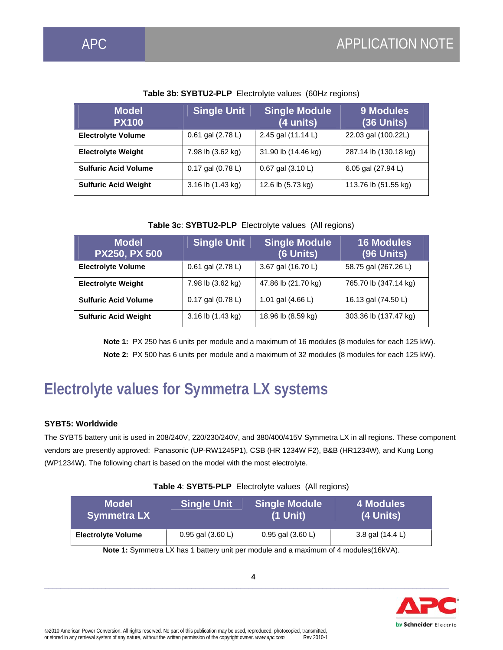| <b>Model</b><br><b>PX100</b> | <b>Single Unit</b>    | <b>Single Module</b><br>(4 units) | <b>9 Modules</b><br>$(36$ Units) |
|------------------------------|-----------------------|-----------------------------------|----------------------------------|
| <b>Electrolyte Volume</b>    | 0.61 gal (2.78 L)     | 2.45 gal (11.14 L)                | 22.03 gal (100.22L)              |
| <b>Electrolyte Weight</b>    | 7.98 lb (3.62 kg)     | 31.90 lb (14.46 kg)               | 287.14 lb (130.18 kg)            |
| <b>Sulfuric Acid Volume</b>  | $0.17$ gal $(0.78 L)$ | $0.67$ gal $(3.10 L)$             | 6.05 gal (27.94 L)               |
| <b>Sulfuric Acid Weight</b>  | 3.16 lb (1.43 kg)     | 12.6 lb (5.73 kg)                 | 113.76 lb (51.55 kg)             |

#### **Table 3b**: **SYBTU2-PLP** Electrolyte values (60Hz regions)

#### **Table 3c**: **SYBTU2-PLP** Electrolyte values (All regions)

| <b>Model</b><br><b>PX250, PX 500</b> | <b>Single Unit</b>    | <b>Single Module</b><br>(6 Units) | <b>16 Modules</b><br><b>(96 Units)</b> |
|--------------------------------------|-----------------------|-----------------------------------|----------------------------------------|
| <b>Electrolyte Volume</b>            | 0.61 gal (2.78 L)     | 3.67 gal (16.70 L)                | 58.75 gal (267.26 L)                   |
| <b>Electrolyte Weight</b>            | 7.98 lb (3.62 kg)     | 47.86 lb (21.70 kg)               | 765.70 lb (347.14 kg)                  |
| <b>Sulfuric Acid Volume</b>          | $0.17$ gal $(0.78 L)$ | 1.01 gal $(4.66 L)$               | 16.13 gal (74.50 L)                    |
| <b>Sulfuric Acid Weight</b>          | 3.16 lb (1.43 kg)     | 18.96 lb (8.59 kg)                | 303.36 lb (137.47 kg)                  |

**Note 1:** PX 250 has 6 units per module and a maximum of 16 modules (8 modules for each 125 kW). **Note 2:** PX 500 has 6 units per module and a maximum of 32 modules (8 modules for each 125 kW).

### **Electrolyte values for Symmetra LX systems**

#### **SYBT5: Worldwide**

The SYBT5 battery unit is used in 208/240V, 220/230/240V, and 380/400/415V Symmetra LX in all regions. These component vendors are presently approved: Panasonic (UP-RW1245P1), CSB (HR 1234W F2), B&B (HR1234W), and Kung Long (WP1234W). The following chart is based on the model with the most electrolyte.

#### **Table 4**: **SYBT5-PLP** Electrolyte values (All regions)

| Model<br><b>Symmetra LX</b>                                                           | <b>Single Unit</b>    | <b>Single Module</b><br>$(1$ Unit) | 4 Modules<br>(4 Units) |
|---------------------------------------------------------------------------------------|-----------------------|------------------------------------|------------------------|
| <b>Electrolyte Volume</b>                                                             | $0.95$ gal $(3.60 L)$ | 0.95 gal $(3.60 L)$                | 3.8 gal (14.4 L)       |
| Note 1: Symmetra LY has 1 botton unit per module and a maximum of 4 modules $(161/1)$ |                       |                                    |                        |

**Note 1:** Symmetra LX has 1 battery unit per module and a maximum of 4 modules(16kVA).

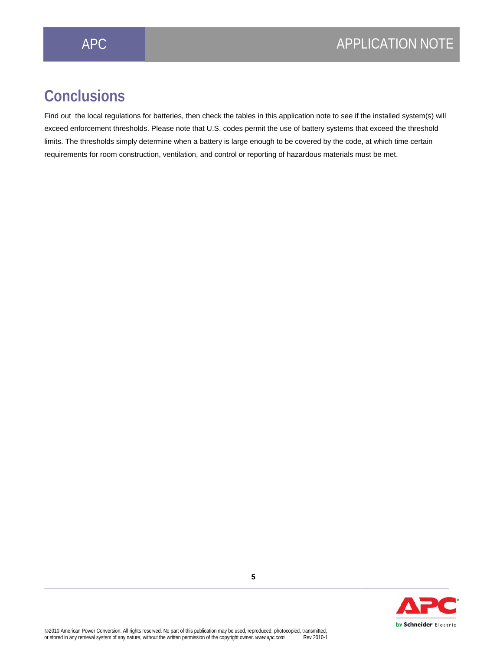### **Conclusions**

Find out the local regulations for batteries, then check the tables in this application note to see if the installed system(s) will exceed enforcement thresholds. Please note that U.S. codes permit the use of battery systems that exceed the threshold limits. The thresholds simply determine when a battery is large enough to be covered by the code, at which time certain requirements for room construction, ventilation, and control or reporting of hazardous materials must be met.